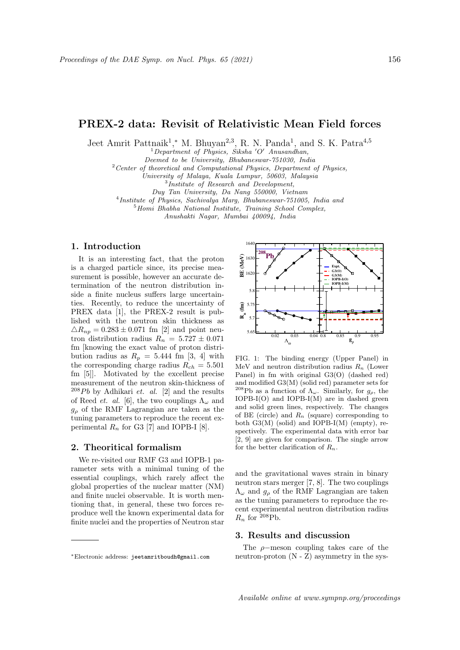# PREX-2 data: Revisit of Relativistic Mean Field forces

Jeet Amrit Pattnaik<sup>1</sup>,\* M. Bhuyan<sup>2,3</sup>, R. N. Panda<sup>1</sup>, and S. K. Patra<sup>4,5</sup>

 $1$ Department of Physics, Siksha 'O' Anusandhan,

Deemed to be University, Bhubaneswar-751030, India

 $2$  Center of theoretical and Computational Physics, Department of Physics,

University of Malaya, Kuala Lumpur, 50603, Malaysia

3 Institute of Research and Development,

Duy Tan University, Da Nang 550000, Vietnam

4 Institute of Physics, Sachivalya Marg, Bhubaneswar-751005, India and

 $5$ Homi Bhabha National Institute, Training School Complex,

Anushakti Nagar, Mumbai 400094, India

### 1. Introduction

It is an interesting fact, that the proton is a charged particle since, its precise measurement is possible, however an accurate determination of the neutron distribution inside a finite nucleus suffers large uncertainties. Recently, to reduce the uncertainty of PREX data [1], the PREX-2 result is published with the neutron skin thickness as  $\Delta R_{np} = 0.283 \pm 0.071$  fm [2] and point neutron distribution radius  $R_n = 5.727 \pm 0.071$ fm [knowing the exact value of proton distribution radius as  $R_p = 5.444$  fm [3, 4] with the corresponding charge radius  $R_{ch} = 5.501$ fm [5]]. Motivated by the excellent precise measurement of the neutron skin-thickness of  $^{208}Pb$  by Adhikari *et. al.* [2] and the results of Reed *et. al.* [6], the two couplings  $\Lambda_{\omega}$  and  $g<sub>o</sub>$  of the RMF Lagrangian are taken as the tuning parameters to reproduce the recent experimental  $R_n$  for G3 [7] and IOPB-I [8].

#### 2. Theoritical formalism

We re-visited our RMF G3 and IOPB-1 parameter sets with a minimal tuning of the essential couplings, which rarely affect the global properties of the nuclear matter (NM) and finite nuclei observable. It is worth mentioning that, in general, these two forces reproduce well the known experimental data for finite nuclei and the properties of Neutron star

FIG. 1: The binding energy (Upper Panel) in MeV and neutron distribution radius  $R_n$  (Lower Panel) in fm with original G3(O) (dashed red) and modified G3(M) (solid red) parameter sets for <sup>208</sup>Pb as a function of  $\Lambda_{\omega}$ . Similarly, for  $g_{\rho}$ , the IOPB-I(O) and IOPB-I(M) are in dashed green and solid green lines, respectively. The changes of BE (circle) and  $R_n$  (square) corresponding to both  $G3(M)$  (solid) and IOPB-I(M) (empty), respectively. The experimental data with error bar [2, 9] are given for comparison. The single arrow for the better clarification of  $R_n$ .

and the gravitational waves strain in binary neutron stars merger [7, 8]. The two couplings  $\Lambda_{\omega}$  and  $g_{\rho}$  of the RMF Lagrangian are taken as the tuning parameters to reproduce the recent experimental neutron distribution radius  $R_n$  for <sup>208</sup>Pb.

## 3. Results and discussion

The ρ−meson coupling takes care of the neutron-proton (N - Z) asymmetry in the sys-

 $1620 \sum_{n=1}^{\infty} 1630$ 1640 **IOPB-I(O) IOPB-I(M)** 0.02 0.03 0.04 Λ ω  $5.65 -$ 5.7 5.75 5.8 $\Box$ **Rn (fm)** 0.8 0.85 0.9 0.95 **g** ρ **Expt. G3(O) G3(M)**  $^{208}$ Pb $\cancel{\sim}$ 

<sup>∗</sup>Electronic address: jeetamritboudh@gmail.com